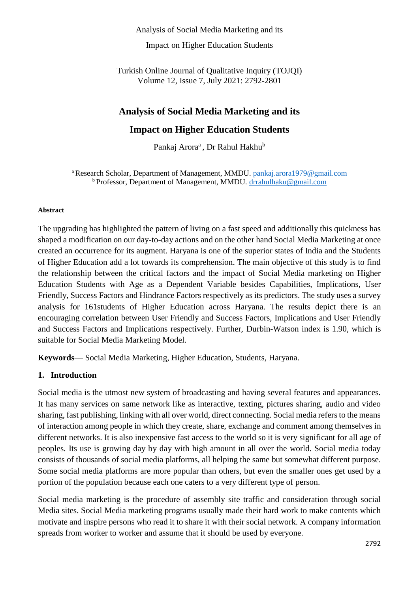Analysis of Social Media Marketing and its

Impact on Higher Education Students

Turkish Online Journal of Qualitative Inquiry (TOJQI) Volume 12, Issue 7, July 2021: 2792-2801

# **Analysis of Social Media Marketing and its**

# **Impact on Higher Education Students**

Pankaj Arora<sup>a</sup>, Dr Rahul Hakhu<sup>b</sup>

<sup>a</sup> Research Scholar, Department of Management, MMDU. [pankaj.arora1979@gmail.com](mailto:pankaj.arora1979@gmail.com) **b** Professor, Department of Management, MMDU. [drrahulhaku@gmail.com](mailto:drrahulhaku@gmail.com)

#### **Abstract**

The upgrading has highlighted the pattern of living on a fast speed and additionally this quickness has shaped a modification on our day-to-day actions and on the other hand Social Media Marketing at once created an occurrence for its augment. Haryana is one of the superior states of India and the Students of Higher Education add a lot towards its comprehension. The main objective of this study is to find the relationship between the critical factors and the impact of Social Media marketing on Higher Education Students with Age as a Dependent Variable besides Capabilities, Implications, User Friendly, Success Factors and Hindrance Factors respectively as its predictors. The study uses a survey analysis for 161students of Higher Education across Haryana. The results depict there is an encouraging correlation between User Friendly and Success Factors, Implications and User Friendly and Success Factors and Implications respectively. Further, Durbin-Watson index is 1.90, which is suitable for Social Media Marketing Model.

**Keywords**— Social Media Marketing, Higher Education, Students, Haryana.

### **1. Introduction**

Social media is the utmost new system of broadcasting and having several features and appearances. It has many services on same network like as interactive, texting, pictures sharing, audio and video sharing, fast publishing, linking with all over world, direct connecting. Social media refers to the means of interaction among people in which they create, share, exchange and comment among themselves in different networks. It is also inexpensive fast access to the world so it is very significant for all age of peoples. Its use is growing day by day with high amount in all over the world. Social media today consists of thousands of social media platforms, all helping the same but somewhat different purpose. Some social media platforms are more popular than others, but even the smaller ones get used by a portion of the population because each one caters to a very different type of person.

Social media marketing is the procedure of assembly site traffic and consideration through social Media sites. Social Media marketing programs usually made their hard work to make contents which motivate and inspire persons who read it to share it with their social network. A company information spreads from worker to worker and assume that it should be used by everyone.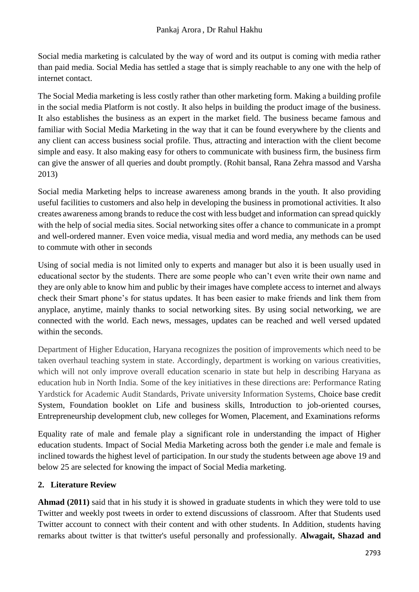Social media marketing is calculated by the way of word and its output is coming with media rather than paid media. Social Media has settled a stage that is simply reachable to any one with the help of internet contact.

The Social Media marketing is less costly rather than other marketing form. Making a building profile in the social media Platform is not costly. It also helps in building the product image of the business. It also establishes the business as an expert in the market field. The business became famous and familiar with Social Media Marketing in the way that it can be found everywhere by the clients and any client can access business social profile. Thus, attracting and interaction with the client become simple and easy. It also making easy for others to communicate with business firm, the business firm can give the answer of all queries and doubt promptly. (Rohit bansal, Rana Zehra massod and Varsha 2013)

Social media Marketing helps to increase awareness among brands in the youth. It also providing useful facilities to customers and also help in developing the business in promotional activities. It also creates awareness among brands to reduce the cost with less budget and information can spread quickly with the help of social media sites. Social networking sites offer a chance to communicate in a prompt and well-ordered manner. Even voice media, visual media and word media, any methods can be used to commute with other in seconds

Using of social media is not limited only to experts and manager but also it is been usually used in educational sector by the students. There are some people who can't even write their own name and they are only able to know him and public by their images have complete access to internet and always check their Smart phone's for status updates. It has been easier to make friends and link them from anyplace, anytime, mainly thanks to social networking sites. By using social networking, we are connected with the world. Each news, messages, updates can be reached and well versed updated within the seconds.

Department of Higher Education, Haryana recognizes the position of improvements which need to be taken overhaul teaching system in state. Accordingly, department is working on various creativities, which will not only improve overall education scenario in state but help in describing Haryana as education hub in North India. Some of the key initiatives in these directions are: Performance Rating Yardstick for Academic Audit Standards, Private university Information Systems, Choice base credit System, Foundation booklet on Life and business skills, Introduction to job-oriented courses, Entrepreneurship development club, new colleges for Women, Placement, and Examinations reforms

Equality rate of male and female play a significant role in understanding the impact of Higher education students. Impact of Social Media Marketing across both the gender i.e male and female is inclined towards the highest level of participation. In our study the students between age above 19 and below 25 are selected for knowing the impact of Social Media marketing.

## **2. Literature Review**

**Ahmad (2011)** said that in his study it is showed in graduate students in which they were told to use Twitter and weekly post tweets in order to extend discussions of classroom. After that Students used Twitter account to connect with their content and with other students. In Addition, students having remarks about twitter is that twitter's useful personally and professionally. **Alwagait, Shazad and**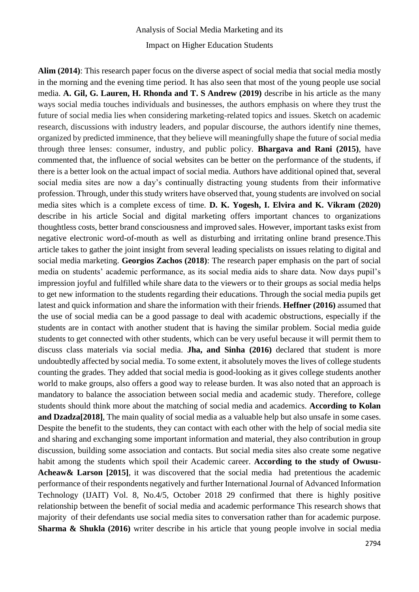**Alim (2014)**: This research paper focus on the diverse aspect of social media that social media mostly in the morning and the evening time period. It has also seen that most of the young people use social media. **A. Gil, G. Lauren, H. Rhonda and T. S Andrew (2019)** describe in his article as the many ways social media touches individuals and businesses, the authors emphasis on where they trust the future of social media lies when considering marketing-related topics and issues. Sketch on academic research, discussions with industry leaders, and popular discourse, the authors identify nine themes, organized by predicted imminence, that they believe will meaningfully shape the future of social media through three lenses: consumer, industry, and public policy. **Bhargava and Rani (2015)**, have commented that, the influence of social websites can be better on the performance of the students, if there is a better look on the actual impact of social media. Authors have additional opined that, several social media sites are now a day's continually distracting young students from their informative profession. Through, under this study writers have observed that, young students are involved on social media sites which is a complete excess of time. **D. K. Yogesh, I. Elvira and K. Vikram (2020)** describe in his article Social and digital marketing offers important chances to organizations thoughtless costs, better brand consciousness and improved sales. However, important tasks exist from negative electronic word-of-mouth as well as disturbing and irritating online brand presence.This article takes to gather the joint insight from several leading specialists on issues relating to digital and social media marketing. **Georgios Zachos (2018)**: The research paper emphasis on the part of social media on students' academic performance, as its social media aids to share data. Now days pupil's impression joyful and fulfilled while share data to the viewers or to their groups as social media helps to get new information to the students regarding their educations. Through the social media pupils get latest and quick information and share the information with their friends. **Heffner (2016)** assumed that the use of social media can be a good passage to deal with academic obstructions, especially if the students are in contact with another student that is having the similar problem. Social media guide students to get connected with other students, which can be very useful because it will permit them to discuss class materials via social media. **Jha, and Sinha (2016)** declared that student is more undoubtedly affected by social media. To some extent, it absolutely moves the lives of college students counting the grades. They added that social media is good-looking as it gives college students another world to make groups, also offers a good way to release burden. It was also noted that an approach is mandatory to balance the association between social media and academic study. Therefore, college students should think more about the matching of social media and academics. **According to Kolan and Dzadza[2018]**, The main quality of social media as a valuable help but also unsafe in some cases. Despite the benefit to the students, they can contact with each other with the help of social media site and sharing and exchanging some important information and material, they also contribution in group discussion, building some association and contacts. But social media sites also create some negative habit among the students which spoil their Academic career. **According to the study of Owusu-**Acheaw& Larson [2015], it was discovered that the social media had pretentious the academic performance of their respondents negatively and further International Journal of Advanced Information Technology (IJAIT) Vol. 8, No.4/5, October 2018 29 confirmed that there is highly positive relationship between the benefit of social media and academic performance This research shows that majority of their defendants use social media sites to conversation rather than for academic purpose. **Sharma & Shukla (2016)** writer describe in his article that young people involve in social media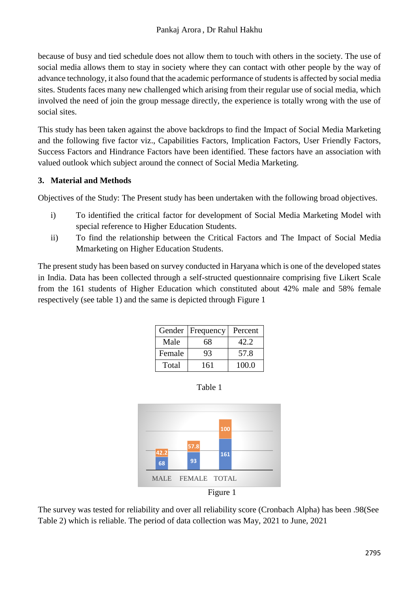because of busy and tied schedule does not allow them to touch with others in the society. The use of social media allows them to stay in society where they can contact with other people by the way of advance technology, it also found that the academic performance of students is affected by social media sites. Students faces many new challenged which arising from their regular use of social media, which involved the need of join the group message directly, the experience is totally wrong with the use of social sites.

This study has been taken against the above backdrops to find the Impact of Social Media Marketing and the following five factor viz., Capabilities Factors, Implication Factors, User Friendly Factors, Success Factors and Hindrance Factors have been identified. These factors have an association with valued outlook which subject around the connect of Social Media Marketing.

## **3. Material and Methods**

Objectives of the Study: The Present study has been undertaken with the following broad objectives.

- i) To identified the critical factor for development of Social Media Marketing Model with special reference to Higher Education Students.
- ii) To find the relationship between the Critical Factors and The Impact of Social Media Mmarketing on Higher Education Students.

The present study has been based on survey conducted in Haryana which is one of the developed states in India. Data has been collected through a self-structed questionnaire comprising five Likert Scale from the 161 students of Higher Education which constituted about 42% male and 58% female respectively (see table 1) and the same is depicted through Figure 1

|        | Gender   Frequency | Percent |
|--------|--------------------|---------|
| Male   | 68                 | 42.2    |
| Female | 93                 | 57.8    |
| Total  | 161                | 100.0   |



The survey was tested for reliability and over all reliability score (Cronbach Alpha) has been .98(See Table 2) which is reliable. The period of data collection was May, 2021 to June, 2021

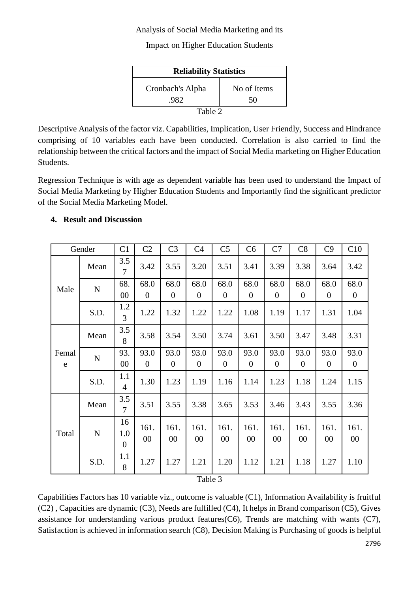### Analysis of Social Media Marketing and its

Impact on Higher Education Students

| <b>Reliability Statistics</b> |             |  |  |  |  |  |  |
|-------------------------------|-------------|--|--|--|--|--|--|
| Cronbach's Alpha              | No of Items |  |  |  |  |  |  |
| 982.                          | 50          |  |  |  |  |  |  |
| Table 2                       |             |  |  |  |  |  |  |

Descriptive Analysis of the factor viz. Capabilities, Implication, User Friendly, Success and Hindrance comprising of 10 variables each have been conducted. Correlation is also carried to find the relationship between the critical factors and the impact of Social Media marketing on Higher Education Students.

Regression Technique is with age as dependent variable has been used to understand the Impact of Social Media Marketing by Higher Education Students and Importantly find the significant predictor of the Social Media Marketing Model.

### **4. Result and Discussion**

|            | Gender      | C <sub>1</sub>              | C <sub>2</sub>         | C <sub>3</sub>         | C <sub>4</sub>         | C <sub>5</sub>         | C6                       | C7                       | C8                       | C9                       | C10                      |
|------------|-------------|-----------------------------|------------------------|------------------------|------------------------|------------------------|--------------------------|--------------------------|--------------------------|--------------------------|--------------------------|
|            | Mean        | 3.5<br>$\overline{7}$       | 3.42                   | 3.55                   | 3.20                   | 3.51                   | 3.41                     | 3.39                     | 3.38                     | 3.64                     | 3.42                     |
| Male       | ${\bf N}$   | 68.<br>00                   | 68.0<br>$\overline{0}$ | 68.0<br>$\overline{0}$ | 68.0<br>$\overline{0}$ | 68.0<br>$\theta$       | 68.0<br>$\boldsymbol{0}$ | 68.0<br>$\overline{0}$   | 68.0<br>$\theta$         | 68.0<br>$\boldsymbol{0}$ | 68.0<br>$\theta$         |
|            | S.D.        | 1.2<br>$\overline{3}$       | 1.22                   | 1.32                   | 1.22                   | 1.22                   | 1.08                     | 1.19                     | 1.17                     | 1.31                     | 1.04                     |
| Femal<br>e | Mean        | 3.5<br>8                    | 3.58                   | 3.54                   | 3.50                   | 3.74                   | 3.61                     | 3.50                     | 3.47                     | 3.48                     | 3.31                     |
|            | ${\bf N}$   | 93.<br>00                   | 93.0<br>$\theta$       | 93.0<br>$\overline{0}$ | 93.0<br>$\theta$       | 93.0<br>$\overline{0}$ | 93.0<br>$\boldsymbol{0}$ | 93.0<br>$\boldsymbol{0}$ | 93.0<br>$\boldsymbol{0}$ | 93.0<br>$\boldsymbol{0}$ | 93.0<br>$\boldsymbol{0}$ |
|            | S.D.        | 1.1<br>$\overline{4}$       | 1.30                   | 1.23                   | 1.19                   | 1.16                   | 1.14                     | 1.23                     | 1.18                     | 1.24                     | 1.15                     |
|            | Mean        | 3.5<br>$\overline{7}$       | 3.51                   | 3.55                   | 3.38                   | 3.65                   | 3.53                     | 3.46                     | 3.43                     | 3.55                     | 3.36                     |
| Total      | $\mathbf N$ | 16<br>1.0<br>$\overline{0}$ | 161.<br>00             | 161.<br>00             | 161.<br>00             | 161.<br>00             | 161.<br>$00\,$           | 161.<br>$00\,$           | 161.<br>$00\,$           | 161.<br>$00\,$           | 161.<br>$00\,$           |
|            | S.D.        | 1.1<br>8                    | 1.27                   | 1.27                   | 1.21                   | 1.20                   | 1.12                     | 1.21                     | 1.18                     | 1.27                     | 1.10                     |
|            |             |                             |                        |                        | Table 3                |                        |                          |                          |                          |                          |                          |

Capabilities Factors has 10 variable viz., outcome is valuable (C1), Information Availability is fruitful (C2) , Capacities are dynamic (C3), Needs are fulfilled (C4), It helps in Brand comparison (C5), Gives assistance for understanding various product features(C6), Trends are matching with wants (C7), Satisfaction is achieved in information search (C8), Decision Making is Purchasing of goods is helpful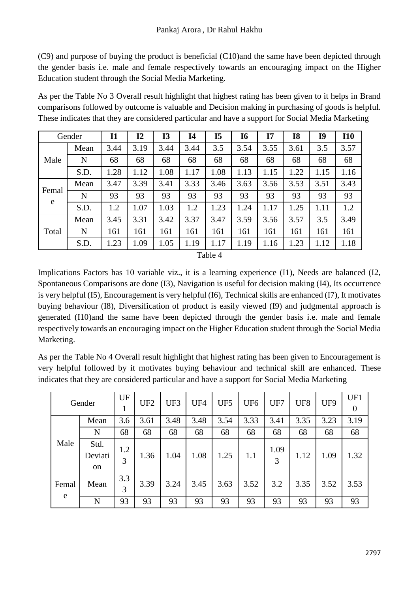(C9) and purpose of buying the product is beneficial (C10)and the same have been depicted through the gender basis i.e. male and female respectively towards an encouraging impact on the Higher Education student through the Social Media Marketing.

As per the Table No 3 Overall result highlight that highest rating has been given to it helps in Brand comparisons followed by outcome is valuable and Decision making in purchasing of goods is helpful. These indicates that they are considered particular and have a support for Social Media Marketing

|            | Gender | <b>I1</b> | 12   | <b>I3</b> | <b>I4</b> | I <sub>5</sub> | <b>I6</b> | I7   | <b>I8</b> | I <sub>9</sub> | <b>I10</b> |
|------------|--------|-----------|------|-----------|-----------|----------------|-----------|------|-----------|----------------|------------|
|            | Mean   | 3.44      | 3.19 | 3.44      | 3.44      | 3.5            | 3.54      | 3.55 | 3.61      | 3.5            | 3.57       |
| Male       | N      | 68        | 68   | 68        | 68        | 68             | 68        | 68   | 68        | 68             | 68         |
|            | S.D.   | .28       | 1.12 | 1.08      | 1.17      | 1.08           | 1.13      | 1.15 | 1.22      | 1.15           | 1.16       |
|            | Mean   | 3.47      | 3.39 | 3.41      | 3.33      | 3.46           | 3.63      | 3.56 | 3.53      | 3.51           | 3.43       |
| Femal<br>e | N      | 93        | 93   | 93        | 93        | 93             | 93        | 93   | 93        | 93             | 93         |
|            | S.D.   | 1.2       | 1.07 | 1.03      | 1.2       | .23            | 1.24      | 1.17 | 1.25      | 1.11           | 1.2        |
|            | Mean   | 3.45      | 3.31 | 3.42      | 3.37      | 3.47           | 3.59      | 3.56 | 3.57      | 3.5            | 3.49       |
| Total      | N      | 161       | 161  | 161       | 161       | 161            | 161       | 161  | 161       | 161            | 161        |
|            | S.D.   | .23       | 1.09 | 1.05      | 1.19      | 1.17           | 1.19      | 1.16 | 1.23      | 1.12           | 1.18       |

Table 4

Implications Factors has 10 variable viz., it is a learning experience (I1), Needs are balanced (I2, Spontaneous Comparisons are done (I3), Navigation is useful for decision making (I4), Its occurrence is very helpful (I5), Encouragement is very helpful (I6), Technical skills are enhanced (I7), It motivates buying behaviour (I8), Diversification of product is easily viewed (I9) and judgmental approach is generated (I10)and the same have been depicted through the gender basis i.e. male and female respectively towards an encouraging impact on the Higher Education student through the Social Media Marketing.

As per the Table No 4 Overall result highlight that highest rating has been given to Encouragement is very helpful followed by it motivates buying behaviour and technical skill are enhanced. These indicates that they are considered particular and have a support for Social Media Marketing

|            | Gender                | UF       | UF <sub>2</sub> | UF3  | UF4  | UF <sub>5</sub> | UF <sub>6</sub> | UF7       | UF8  | UF9  | UF1<br>$\theta$ |
|------------|-----------------------|----------|-----------------|------|------|-----------------|-----------------|-----------|------|------|-----------------|
| Male       | Mean                  | 3.6      | 3.61            | 3.48 | 3.48 | 3.54            | 3.33            | 3.41      | 3.35 | 3.23 | 3.19            |
|            | N                     | 68       | 68              | 68   | 68   | 68              | 68              | 68        | 68   | 68   | 68              |
|            | Std.<br>Deviati<br>on | 1.2<br>3 | 1.36            | 1.04 | 1.08 | 1.25            | 1.1             | 1.09<br>3 | 1.12 | 1.09 | 1.32            |
| Femal<br>e | Mean                  | 3.3<br>3 | 3.39            | 3.24 | 3.45 | 3.63            | 3.52            | 3.2       | 3.35 | 3.52 | 3.53            |
|            | N                     | 93       | 93              | 93   | 93   | 93              | 93              | 93        | 93   | 93   | 93              |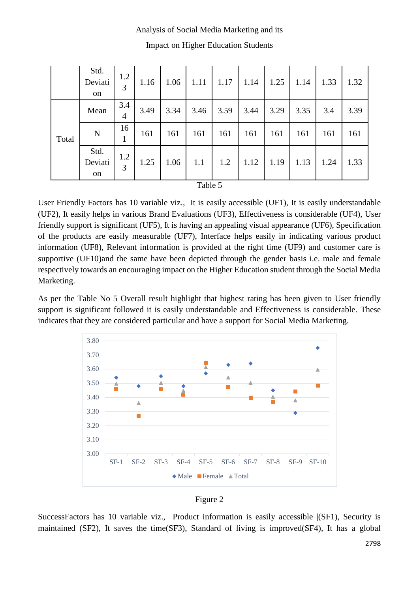# Analysis of Social Media Marketing and its Impact on Higher Education Students

|       | Std.<br>Deviati<br>on | 1.2<br>3 | 1.16 | 1.06 | 1.11              | 1.17 | 1.14 | 1.25 | 1.14 | 1.33 | 1.32 |
|-------|-----------------------|----------|------|------|-------------------|------|------|------|------|------|------|
| Total | Mean                  | 3.4<br>4 | 3.49 | 3.34 | 3.46              | 3.59 | 3.44 | 3.29 | 3.35 | 3.4  | 3.39 |
|       | $\mathbf N$           | 16<br>1  | 161  | 161  | 161               | 161  | 161  | 161  | 161  | 161  | 161  |
|       | Std.<br>Deviati<br>on | 1.2<br>3 | 1.25 | 1.06 | 1.1               | 1.2  | 1.12 | 1.19 | 1.13 | 1.24 | 1.33 |
|       |                       |          |      |      | $T_0 h l_0 \zeta$ |      |      |      |      |      |      |

Table 5

User Friendly Factors has 10 variable viz., It is easily accessible (UF1), It is easily understandable (UF2), It easily helps in various Brand Evaluations (UF3), Effectiveness is considerable (UF4), User friendly support is significant (UF5), It is having an appealing visual appearance (UF6), Specification of the products are easily measurable (UF7), Interface helps easily in indicating various product information (UF8), Relevant information is provided at the right time (UF9) and customer care is supportive (UF10)and the same have been depicted through the gender basis i.e. male and female respectively towards an encouraging impact on the Higher Education student through the Social Media Marketing.

As per the Table No 5 Overall result highlight that highest rating has been given to User friendly support is significant followed it is easily understandable and Effectiveness is considerable. These indicates that they are considered particular and have a support for Social Media Marketing.



### Figure 2

SuccessFactors has 10 variable viz., Product information is easily accessible |(SF1), Security is maintained (SF2), It saves the time(SF3), Standard of living is improved(SF4), It has a global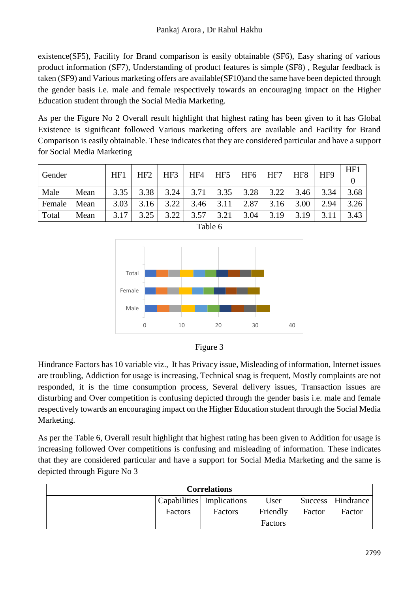existence(SF5), Facility for Brand comparison is easily obtainable (SF6), Easy sharing of various product information (SF7), Understanding of product features is simple (SF8) , Regular feedback is taken (SF9) and Various marketing offers are available(SF10)and the same have been depicted through the gender basis i.e. male and female respectively towards an encouraging impact on the Higher Education student through the Social Media Marketing.

As per the Figure No 2 Overall result highlight that highest rating has been given to it has Global Existence is significant followed Various marketing offers are available and Facility for Brand Comparison is easily obtainable. These indicates that they are considered particular and have a support for Social Media Marketing

| Gender |      |      | HF <sub>2</sub><br>HF1 | HF3  | HF4  | HF <sub>5</sub> | HF <sub>6</sub> | HF7  | HF <sub>8</sub> | HF9  | HF1  |
|--------|------|------|------------------------|------|------|-----------------|-----------------|------|-----------------|------|------|
|        |      |      |                        |      |      |                 |                 |      |                 |      |      |
| Male   | Mean | 3.35 | 3.38                   | 3.24 | 3.71 | 3.35            | 3.28            | 3.22 | 3.46            | 3.34 | 3.68 |
| Female | Mean | 3.03 | 3.16                   | 3.22 | 3.46 | 3.11            | 2.87            | 3.16 | 3.00            | 2.94 | 3.26 |
| Total  | Mean | 3.17 | 3.25                   | 322  | 3.57 | 3.21            | 3.04            | 3.19 | 3.19            | 3.11 | 3.43 |







Hindrance Factors has 10 variable viz., It has Privacy issue, Misleading of information, Internet issues are troubling, Addiction for usage is increasing, Technical snag is frequent, Mostly complaints are not responded, it is the time consumption process, Several delivery issues, Transaction issues are disturbing and Over competition is confusing depicted through the gender basis i.e. male and female respectively towards an encouraging impact on the Higher Education student through the Social Media Marketing.

As per the Table 6, Overall result highlight that highest rating has been given to Addition for usage is increasing followed Over competitions is confusing and misleading of information. These indicates that they are considered particular and have a support for Social Media Marketing and the same is depicted through Figure No 3

| <b>Correlations</b> |         |                             |          |        |                     |  |  |  |  |
|---------------------|---------|-----------------------------|----------|--------|---------------------|--|--|--|--|
|                     |         | Capabilities   Implications | User     |        | Success   Hindrance |  |  |  |  |
|                     | Factors | Factors                     | Friendly | Factor | Factor              |  |  |  |  |
|                     |         |                             | Factors  |        |                     |  |  |  |  |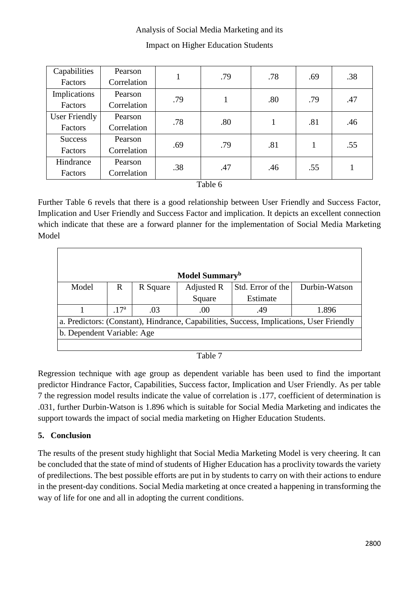### Analysis of Social Media Marketing and its

| Capabilities         | Pearson     | 1   | .79 | .78 | .69 | .38 |  |
|----------------------|-------------|-----|-----|-----|-----|-----|--|
| Factors              | Correlation |     |     |     |     |     |  |
| Implications         | Pearson     | .79 |     | .80 | .79 | .47 |  |
| Factors              | Correlation |     |     |     |     |     |  |
| <b>User Friendly</b> | Pearson     | .78 | .80 |     | .81 | .46 |  |
| Factors              | Correlation |     |     |     |     |     |  |
| <b>Success</b>       | Pearson     | .69 |     | .81 |     |     |  |
| Factors              | Correlation |     | .79 |     |     | .55 |  |
| Hindrance            | Pearson     | .38 | .47 | .46 | .55 |     |  |
| Factors              | Correlation |     |     |     |     |     |  |

### Impact on Higher Education Students

Table 6

Further Table 6 revels that there is a good relationship between User Friendly and Success Factor, Implication and User Friendly and Success Factor and implication. It depicts an excellent connection which indicate that these are a forward planner for the implementation of Social Media Marketing Model

| Model Summary <sup>b</sup>                                                               |                 |          |            |                   |               |  |  |  |  |  |
|------------------------------------------------------------------------------------------|-----------------|----------|------------|-------------------|---------------|--|--|--|--|--|
| Model                                                                                    | R               | R Square | Adjusted R | Std. Error of the | Durbin-Watson |  |  |  |  |  |
|                                                                                          |                 |          | Square     | Estimate          |               |  |  |  |  |  |
|                                                                                          | 17 <sup>a</sup> | .03      | .00        | .49               | 1.896         |  |  |  |  |  |
| a. Predictors: (Constant), Hindrance, Capabilities, Success, Implications, User Friendly |                 |          |            |                   |               |  |  |  |  |  |
| b. Dependent Variable: Age                                                               |                 |          |            |                   |               |  |  |  |  |  |
|                                                                                          |                 |          |            |                   |               |  |  |  |  |  |

#### Table 7

Regression technique with age group as dependent variable has been used to find the important predictor Hindrance Factor, Capabilities, Success factor, Implication and User Friendly. As per table 7 the regression model results indicate the value of correlation is .177, coefficient of determination is .031, further Durbin-Watson is 1.896 which is suitable for Social Media Marketing and indicates the support towards the impact of social media marketing on Higher Education Students.

### **5. Conclusion**

The results of the present study highlight that Social Media Marketing Model is very cheering. It can be concluded that the state of mind of students of Higher Education has a proclivity towards the variety of predilections. The best possible efforts are put in by students to carry on with their actions to endure in the present-day conditions. Social Media marketing at once created a happening in transforming the way of life for one and all in adopting the current conditions.